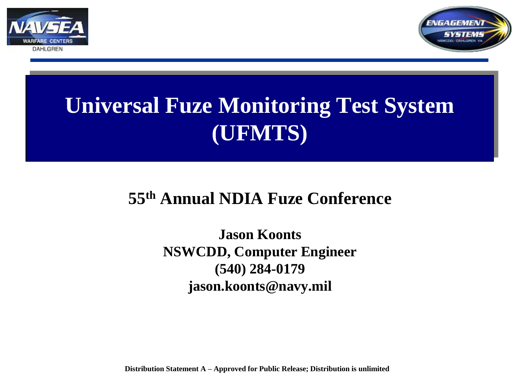



# **Universal Fuze Monitoring Test System (UFMTS)**

#### **55th Annual NDIA Fuze Conference**

**Jason Koonts NSWCDD, Computer Engineer (540) 284-0179 jason.koonts@navy.mil**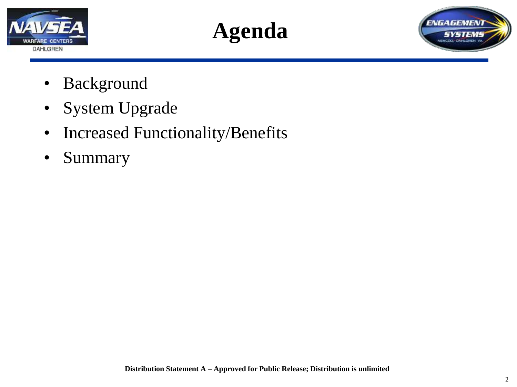





- Background
- System Upgrade
- Increased Functionality/Benefits
- Summary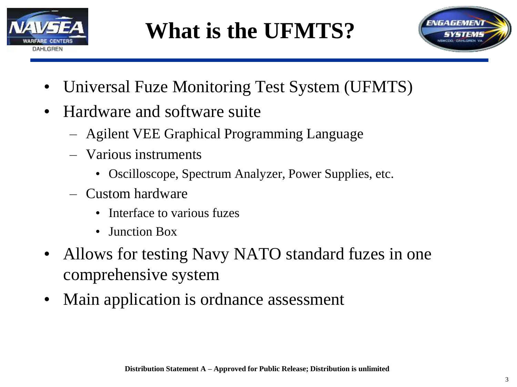

# **What is the UFMTS?**



- Universal Fuze Monitoring Test System (UFMTS)
- Hardware and software suite
	- Agilent VEE Graphical Programming Language
	- Various instruments
		- Oscilloscope, Spectrum Analyzer, Power Supplies, etc.
	- Custom hardware
		- Interface to various fuzes
		- Junction Box
- Allows for testing Navy NATO standard fuzes in one comprehensive system
- Main application is ordnance assessment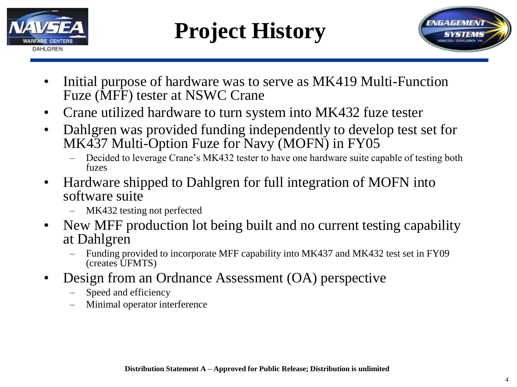

# **Project History**



- Initial purpose of hardware was to serve as MK419 Multi-Function Fuze (MFF) tester at NSWC Crane
- Crane utilized hardware to turn system into MK432 fuze tester
- Dahlgren was provided funding independently to develop test set for MK437 Multi-Option Fuze for Navy (MOFN) in FY05
	- Decided to leverage Crane's MK432 tester to have one hardware suite capable of testing both fuzes
- Hardware shipped to Dahlgren for full integration of MOFN into software suite
	- MK432 testing not perfected
- New MFF production lot being built and no current testing capability at Dahlgren
	- Funding provided to incorporate MFF capability into MK437 and MK432 test set in FY09 (creates UFMTS)
- Design from an Ordnance Assessment (OA) perspective
	- Speed and efficiency
	- Minimal operator interference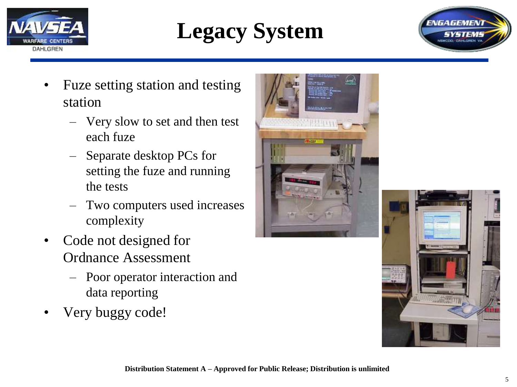





- Fuze setting station and testing station
	- Very slow to set and then test each fuze
	- Separate desktop PCs for setting the fuze and running the tests
	- Two computers used increases complexity
- Code not designed for Ordnance Assessment
	- Poor operator interaction and data reporting
- Very buggy code!



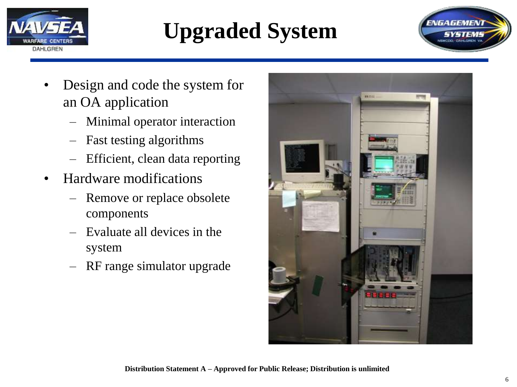

# **Upgraded System**



- Design and code the system for an OA application
	- Minimal operator interaction
	- Fast testing algorithms
	- Efficient, clean data reporting
- Hardware modifications
	- Remove or replace obsolete components
	- Evaluate all devices in the system
	- RF range simulator upgrade

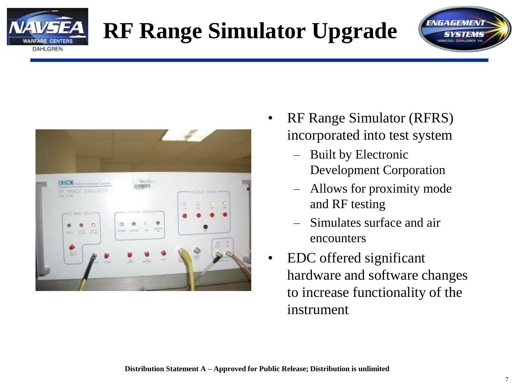

# **RF Range Simulator Upgrade**





- RF Range Simulator (RFRS) incorporated into test system
	- Built by Electronic Development Corporation
	- Allows for proximity mode and RF testing
	- Simulates surface and air encounters
- EDC offered significant hardware and software changes to increase functionality of the instrument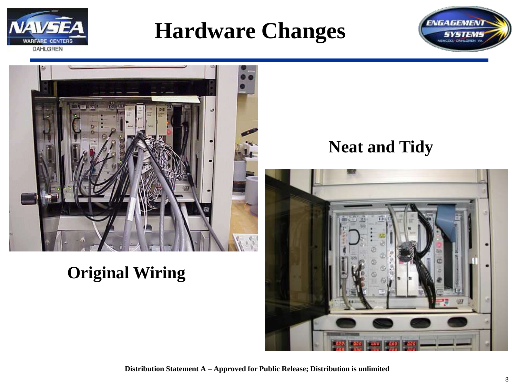

## **Hardware Changes**



### **Original Wiring**

#### **Neat and Tidy**

**ENGAGEMENT** 

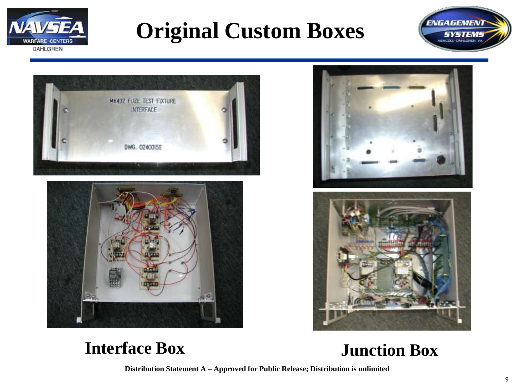

## **Original Custom Boxes**











#### **Interface Box Junction Box**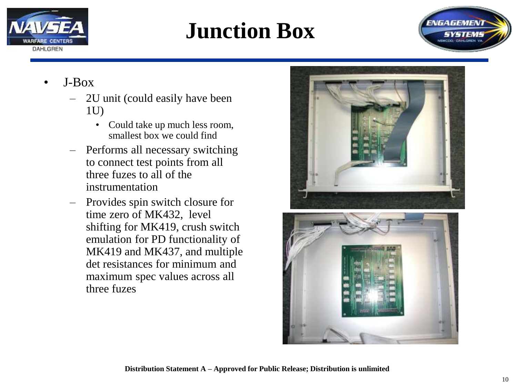

## **Junction Box**



- J-Box
	- 2U unit (could easily have been 1U)
		- Could take up much less room, smallest box we could find
	- Performs all necessary switching to connect test points from all three fuzes to all of the instrumentation
	- Provides spin switch closure for time zero of MK432, level shifting for MK419, crush switch emulation for PD functionality of MK419 and MK437, and multiple det resistances for minimum and maximum spec values across all three fuzes



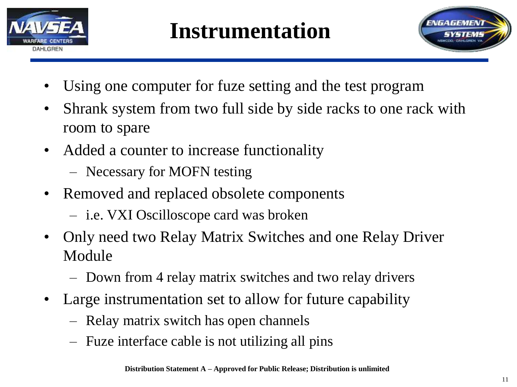

## **Instrumentation**



- Using one computer for fuze setting and the test program
- Shrank system from two full side by side racks to one rack with room to spare
- Added a counter to increase functionality
	- Necessary for MOFN testing
- Removed and replaced obsolete components
	- i.e. VXI Oscilloscope card was broken
- Only need two Relay Matrix Switches and one Relay Driver Module
	- Down from 4 relay matrix switches and two relay drivers
- Large instrumentation set to allow for future capability
	- Relay matrix switch has open channels
	- Fuze interface cable is not utilizing all pins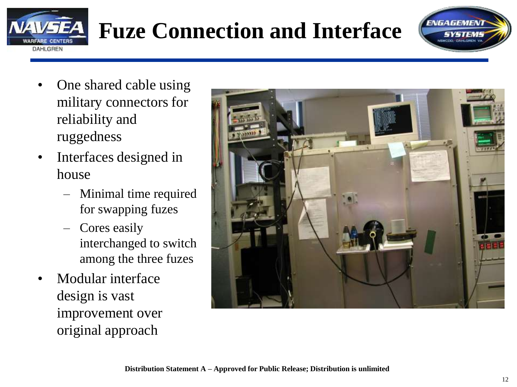

# **Fuze Connection and Interface**

**ENGAGEMEN** 

- One shared cable using military connectors for reliability and ruggedness
- Interfaces designed in house
	- Minimal time required for swapping fuzes
	- Cores easily interchanged to switch among the three fuzes
- Modular interface design is vast improvement over original approach

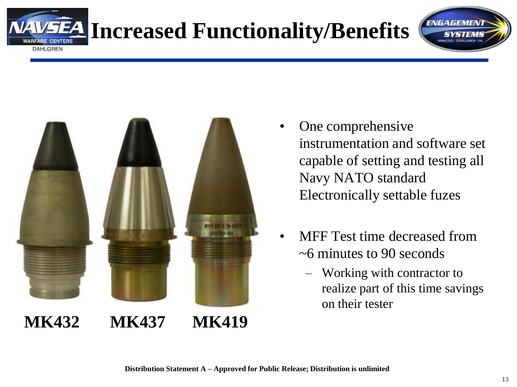# **Increased Functionality/Benefits**



**DAHLGREN** 

One comprehensive instrumentation and software set capable of setting and testing all Navy NATO standard Electronically settable fuzes

**ENGAGEMEN** 

- MFF Test time decreased from ~6 minutes to 90 seconds
	- Working with contractor to realize part of this time savings on their tester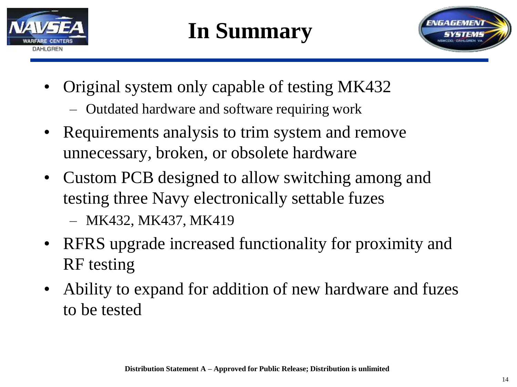

# **In Summary**



- Original system only capable of testing MK432
	- Outdated hardware and software requiring work
- Requirements analysis to trim system and remove unnecessary, broken, or obsolete hardware
- Custom PCB designed to allow switching among and testing three Navy electronically settable fuzes

– MK432, MK437, MK419

- RFRS upgrade increased functionality for proximity and RF testing
- Ability to expand for addition of new hardware and fuzes to be tested